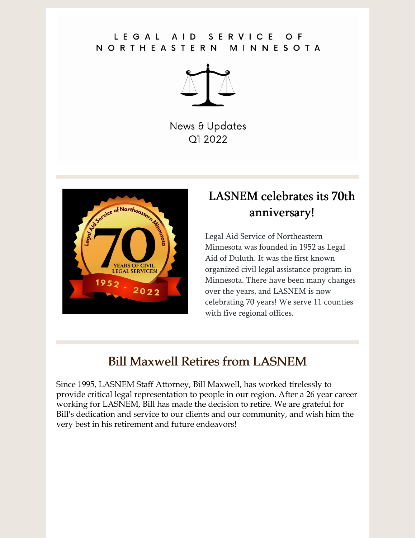#### LEGAL AID SERVICE  $O$  F NORTHEASTERN MINNESOTA



**News & Updates** Q1 2022



# LASNEM celebrates its 70th anniversary!

Legal Aid Service of Northeastern Minnesota was founded in 1952 as Legal Aid of Duluth. It was the first known organized civil legal assistance program in Minnesota. There have been many changes over the years, and LASNEM is now celebrating 70 years! We serve 11 counties with five regional offices.

## Bill Maxwell Retires from LASNEM

Since 1995, LASNEM Staff Attorney, Bill Maxwell, has worked tirelessly to provide critical legal representation to people in our region. After a 26 year career working for LASNEM, Bill has made the decision to retire. We are grateful for Bill's dedication and service to our clients and our community, and wish him the very best in his retirement and future endeavors!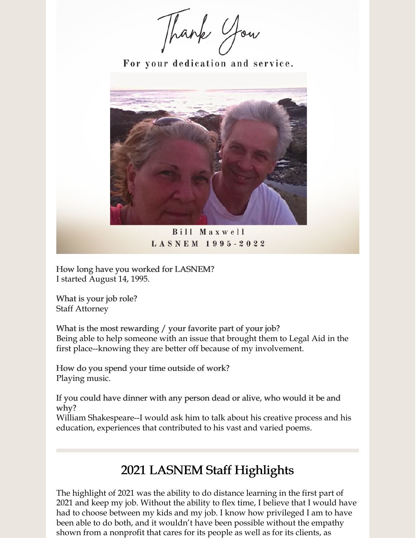Thank you

For your dedication and service.



Bill Maxwell LASNEM 1995-2022

How long have you worked for LASNEM? I started August 14, 1995.

What is your job role? Staff Attorney

What is the most rewarding / your favorite part of your job? Being able to help someone with an issue that brought them to Legal Aid in the first place--knowing they are better off because of my involvement.

How do you spend your time outside of work? Playing music.

If you could have dinner with any person dead or alive, who would it be and why?

William Shakespeare--I would ask him to talk about his creative process and his education, experiences that contributed to his vast and varied poems.

### 2021 LASNEM Staff Highlights

The highlight of 2021 was the ability to do distance learning in the first part of 2021 and keep my job. Without the ability to flex time, I believe that I would have had to choose between my kids and my job. I know how privileged I am to have been able to do both, and it wouldn't have been possible without the empathy shown from a nonprofit that cares for its people as well as for its clients, as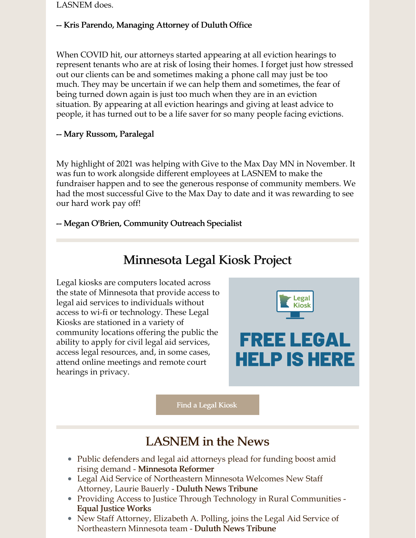LASNEM does.

#### -- Kris Parendo, Managing Attorney of Duluth Office

When COVID hit, our attorneys started appearing at all eviction hearings to represent tenants who are at risk of losing their homes. I forget just how stressed out our clients can be and sometimes making a phone call may just be too much. They may be uncertain if we can help them and sometimes, the fear of being turned down again is just too much when they are in an eviction situation. By appearing at all eviction hearings and giving at least advice to people, it has turned out to be a life saver for so many people facing evictions.

#### -- Mary Russom, Paralegal

My highlight of 2021 was helping with Give to the Max Day MN in November. It was fun to work alongside different employees at LASNEM to make the fundraiser happen and to see the generous response of community members. We had the most successful Give to the Max Day to date and it was rewarding to see our hard work pay off!

### -- Megan O'Brien, Community Outreach Specialist

### Minnesota Legal Kiosk Project

Legal kiosks are computers located across the state of Minnesota that provide access to legal aid services to individuals without access to wi-fi or technology. These Legal Kiosks are stationed in a variety of community locations offering the public the ability to apply for civil legal aid services, access legal resources, and, in some cases, attend online meetings and remote court hearings in privacy.



Find a Legal [Kiosk](https://www.legalkiosk.org/locations)

### LASNEM in the News

- Public defenders and legal aid attorneys plead for funding boost amid rising demand - [Minnesota](https://minnesotareformer.com/briefs/public-defenders-and-legal-aid-attorneys-ask-lawmakers-for-funding-boost/) Reformer
- Legal Aid Service of Northeastern Minnesota Welcomes New Staff Attorney, Laurie Bauerly - Duluth News [Tribune](https://www.duluthnewstribune.com/business/announcements/legal-aid-service-of-northeastern-minnesota-welcomes-new-staff-attorney-laurie-bauerly-61c207f296b0e675b87a8c4b)
- Providing Access to Justice Through Technology in Rural Communities -Equal [Justice](https://www.equaljusticeworks.org/news/providing-access-to-justice-through-technology-in-rural-communities/) Works
- New Staff Attorney, Elizabeth A. Polling, joins the Legal Aid Service of Northeastern Minnesota team - Duluth News [Tribune](https://www.duluthnewstribune.com/business/announcements/new-staff-attorney-elizabeth-a-polling-joins-the-legal-aid-service-of-northeastern-minnesota-team-5d0135ff67a60618cb3bf3a9-61dca2f62ff74275d2f6c7a5)